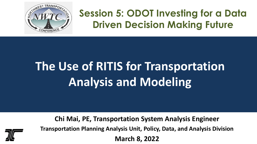

# **Session 5: ODOT Investing for a Data Driven Decision Making Future**

# **The Use of RITIS for Transportation Analysis and Modeling**

**Chi Mai, PE, Transportation System Analysis Engineer Transportation Planning Analysis Unit, Policy, Data, and Analysis Division March 8, 2022**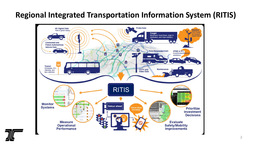### **Regional Integrated Transportation Information System (RITIS)**



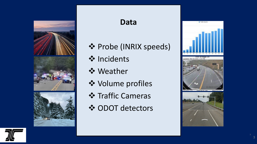

#### **Data**

- ❖ Probe (INRIX speeds)
- **❖** Incidents
- **❖** Weather
- Volume profiles
- **❖ Traffic Cameras**
- **❖ ODOT detectors**



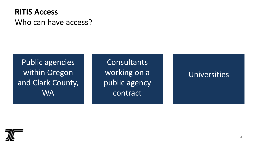### **RITIS Access** Who can have access?

Public agencies within Oregon and Clark County, **WA** 

**Consultants** working on a public agency contract

#### Universities

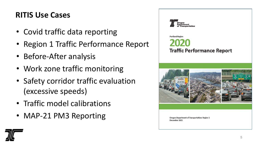### **RITIS Use Cases**

- Covid traffic data reporting
- Region 1 Traffic Performance Report
- Before-After analysis
- Work zone traffic monitoring
- Safety corridor traffic evaluation (excessive speeds)
- Traffic model calibrations
- MAP-21 PM3 Reporting



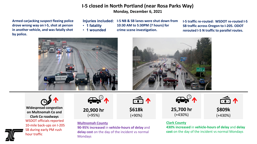#### **I-5 closed in North Portland (near Rosa Parks Way) Monday, December 6, 2021**

**Armed carjacking suspect fleeing police drove wrong way on I-5, shot at person in another vehicle, and was fatally shot by police.**

**Injuries included:**

- **1 fatality**
- **1 wounded**

**I-5 NB & SB lanes were shut down from 10:30 AM to 5:30PM (7 hours) for** 

**crime scene investigation.**

**I-5 traffic re-routed: WSDOT re-routed I-5 SB traffic across Oregon to I-205. ODOT rerouted I-5 N traffic to parallel routes.**







WSDOT officials reported 10-mile back-ups on I-205 SB during early PM rush hour traffic **[Widespread congestion](https://pda.ritis.org/suite/performance-summaries/?uuid=bd5743a7-509e-4446-94a5-4217480254cf)  on Multnomah Co and Clark Co roadways**



**[20,900](https://pda.ritis.org/delay-analysis/report/771ff547-d05c-4efa-892c-53a96f0f4ec1/) hr** (+95%)

#### **Multnomah County**

**90-95% increased** in **vehicle-hours of delay** and **delay cost** on the day of the incident vs normal Mondays



**[\\$618k](https://pda.ritis.org/delay-analysis/report/771ff547-d05c-4efa-892c-53a96f0f4ec1/)** (+90%)



**[25,700 hr](https://pda.ritis.org/delay-analysis/report/771ff547-d05c-4efa-892c-53a96f0f4ec1/)** (+430%)



**[\\$809k](https://pda.ritis.org/delay-analysis/report/771ff547-d05c-4efa-892c-53a96f0f4ec1/)** (+430%)

#### **Clark County**

**430% increased** in **vehicle-hours of delay** and **delay cost** on the day of the incident vs normal Mondays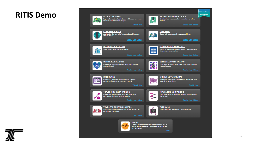#### **RITIS Demo**